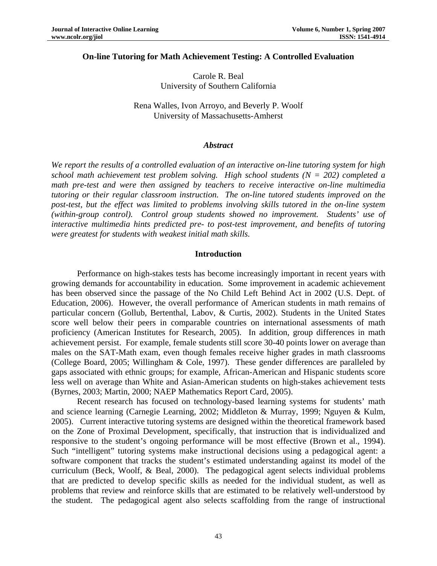#### **On-line Tutoring for Math Achievement Testing: A Controlled Evaluation**

Carole R. Beal University of Southern California

Rena Walles, Ivon Arroyo, and Beverly P. Woolf University of Massachusetts-Amherst

### *Abstract*

*We report the results of a controlled evaluation of an interactive on-line tutoring system for high school math achievement test problem solving. High school students (N = 202) completed a math pre-test and were then assigned by teachers to receive interactive on-line multimedia tutoring or their regular classroom instruction. The on-line tutored students improved on the post-test, but the effect was limited to problems involving skills tutored in the on-line system (within-group control). Control group students showed no improvement. Students' use of interactive multimedia hints predicted pre- to post-test improvement, and benefits of tutoring were greatest for students with weakest initial math skills.* 

#### **Introduction**

Performance on high-stakes tests has become increasingly important in recent years with growing demands for accountability in education. Some improvement in academic achievement has been observed since the passage of the No Child Left Behind Act in 2002 (U.S. Dept. of Education, 2006). However, the overall performance of American students in math remains of particular concern (Gollub, Bertenthal, Labov, & Curtis, 2002). Students in the United States score well below their peers in comparable countries on international assessments of math proficiency (American Institutes for Research, 2005). In addition, group differences in math achievement persist. For example, female students still score 30-40 points lower on average than males on the SAT-Math exam, even though females receive higher grades in math classrooms (College Board, 2005; Willingham & Cole, 1997). These gender differences are paralleled by gaps associated with ethnic groups; for example, African-American and Hispanic students score less well on average than White and Asian-American students on high-stakes achievement tests (Byrnes, 2003; Martin, 2000; NAEP Mathematics Report Card, 2005).

Recent research has focused on technology-based learning systems for students' math and science learning (Carnegie Learning, 2002; Middleton & Murray, 1999; Nguyen & Kulm, 2005). Current interactive tutoring systems are designed within the theoretical framework based on the Zone of Proximal Development, specifically, that instruction that is individualized and responsive to the student's ongoing performance will be most effective (Brown et al., 1994). Such "intelligent" tutoring systems make instructional decisions using a pedagogical agent: a software component that tracks the student's estimated understanding against its model of the curriculum (Beck, Woolf, & Beal, 2000). The pedagogical agent selects individual problems that are predicted to develop specific skills as needed for the individual student, as well as problems that review and reinforce skills that are estimated to be relatively well-understood by the student. The pedagogical agent also selects scaffolding from the range of instructional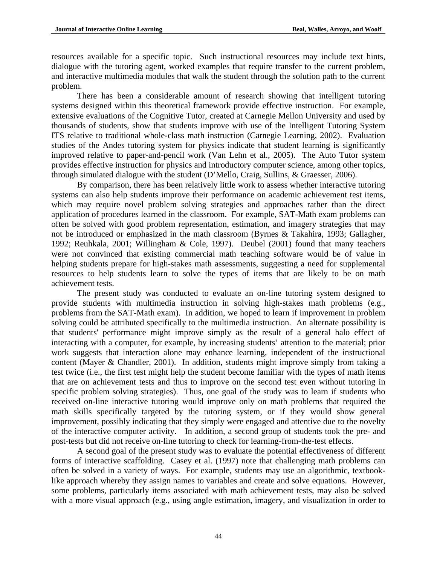resources available for a specific topic. Such instructional resources may include text hints, dialogue with the tutoring agent, worked examples that require transfer to the current problem, and interactive multimedia modules that walk the student through the solution path to the current problem.

There has been a considerable amount of research showing that intelligent tutoring systems designed within this theoretical framework provide effective instruction. For example, extensive evaluations of the Cognitive Tutor, created at Carnegie Mellon University and used by thousands of students, show that students improve with use of the Intelligent Tutoring System ITS relative to traditional whole-class math instruction (Carnegie Learning, 2002). Evaluation studies of the Andes tutoring system for physics indicate that student learning is significantly improved relative to paper-and-pencil work (Van Lehn et al., 2005). The Auto Tutor system provides effective instruction for physics and introductory computer science, among other topics, through simulated dialogue with the student (D'Mello, Craig, Sullins, & Graesser, 2006).

By comparison, there has been relatively little work to assess whether interactive tutoring systems can also help students improve their performance on academic achievement test items, which may require novel problem solving strategies and approaches rather than the direct application of procedures learned in the classroom. For example, SAT-Math exam problems can often be solved with good problem representation, estimation, and imagery strategies that may not be introduced or emphasized in the math classroom (Byrnes & Takahira, 1993; Gallagher, 1992; Reuhkala, 2001; Willingham & Cole, 1997). Deubel (2001) found that many teachers were not convinced that existing commercial math teaching software would be of value in helping students prepare for high-stakes math assessments, suggesting a need for supplemental resources to help students learn to solve the types of items that are likely to be on math achievement tests.

The present study was conducted to evaluate an on-line tutoring system designed to provide students with multimedia instruction in solving high-stakes math problems (e.g., problems from the SAT-Math exam). In addition, we hoped to learn if improvement in problem solving could be attributed specifically to the multimedia instruction. An alternate possibility is that students' performance might improve simply as the result of a general halo effect of interacting with a computer, for example, by increasing students' attention to the material; prior work suggests that interaction alone may enhance learning, independent of the instructional content (Mayer & Chandler, 2001). In addition, students might improve simply from taking a test twice (i.e., the first test might help the student become familiar with the types of math items that are on achievement tests and thus to improve on the second test even without tutoring in specific problem solving strategies). Thus, one goal of the study was to learn if students who received on-line interactive tutoring would improve only on math problems that required the math skills specifically targeted by the tutoring system, or if they would show general improvement, possibly indicating that they simply were engaged and attentive due to the novelty of the interactive computer activity. In addition, a second group of students took the pre- and post-tests but did not receive on-line tutoring to check for learning-from-the-test effects.

 A second goal of the present study was to evaluate the potential effectiveness of different forms of interactive scaffolding. Casey et al. (1997) note that challenging math problems can often be solved in a variety of ways. For example, students may use an algorithmic, textbooklike approach whereby they assign names to variables and create and solve equations. However, some problems, particularly items associated with math achievement tests, may also be solved with a more visual approach (e.g., using angle estimation, imagery, and visualization in order to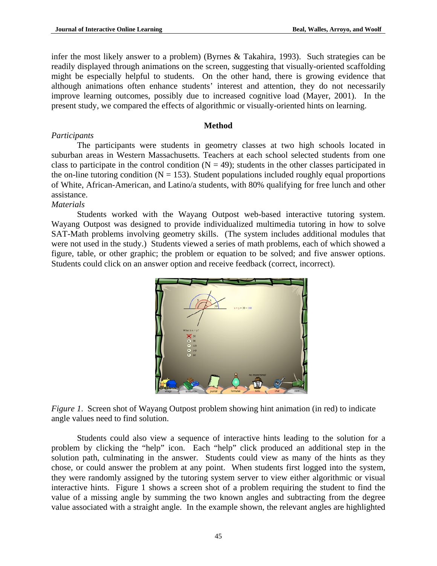infer the most likely answer to a problem) (Byrnes & Takahira, 1993). Such strategies can be readily displayed through animations on the screen, suggesting that visually-oriented scaffolding might be especially helpful to students. On the other hand, there is growing evidence that although animations often enhance students' interest and attention, they do not necessarily improve learning outcomes, possibly due to increased cognitive load (Mayer, 2001). In the present study, we compared the effects of algorithmic or visually-oriented hints on learning.

# **Method**

## *Participants*

The participants were students in geometry classes at two high schools located in suburban areas in Western Massachusetts. Teachers at each school selected students from one class to participate in the control condition  $(N = 49)$ ; students in the other classes participated in the on-line tutoring condition ( $N = 153$ ). Student populations included roughly equal proportions of White, African-American, and Latino/a students, with 80% qualifying for free lunch and other assistance.

## *Materials*

Students worked with the Wayang Outpost web-based interactive tutoring system. Wayang Outpost was designed to provide individualized multimedia tutoring in how to solve SAT-Math problems involving geometry skills. (The system includes additional modules that were not used in the study.) Students viewed a series of math problems, each of which showed a figure, table, or other graphic; the problem or equation to be solved; and five answer options. Students could click on an answer option and receive feedback (correct, incorrect).



*Figure 1*. Screen shot of Wayang Outpost problem showing hint animation (in red) to indicate angle values need to find solution.

Students could also view a sequence of interactive hints leading to the solution for a problem by clicking the "help" icon. Each "help" click produced an additional step in the solution path, culminating in the answer. Students could view as many of the hints as they chose, or could answer the problem at any point. When students first logged into the system, they were randomly assigned by the tutoring system server to view either algorithmic or visual interactive hints. Figure 1 shows a screen shot of a problem requiring the student to find the value of a missing angle by summing the two known angles and subtracting from the degree value associated with a straight angle. In the example shown, the relevant angles are highlighted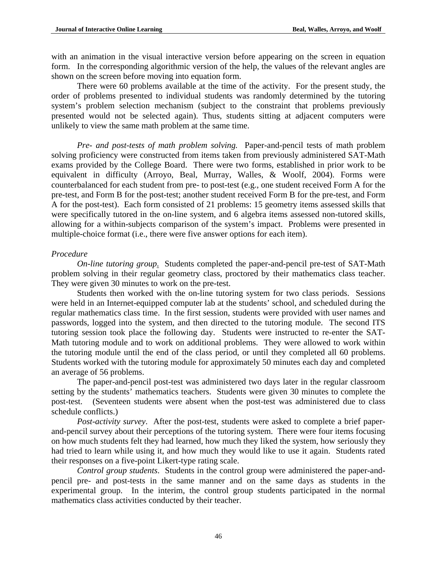with an animation in the visual interactive version before appearing on the screen in equation form. In the corresponding algorithmic version of the help, the values of the relevant angles are shown on the screen before moving into equation form.

There were 60 problems available at the time of the activity. For the present study, the order of problems presented to individual students was randomly determined by the tutoring system's problem selection mechanism (subject to the constraint that problems previously presented would not be selected again). Thus, students sitting at adjacent computers were unlikely to view the same math problem at the same time.

*Pre- and post-tests of math problem solving.* Paper-and-pencil tests of math problem solving proficiency were constructed from items taken from previously administered SAT-Math exams provided by the College Board. There were two forms, established in prior work to be equivalent in difficulty (Arroyo, Beal, Murray, Walles, & Woolf, 2004). Forms were counterbalanced for each student from pre- to post-test (e.g., one student received Form A for the pre-test, and Form B for the post-test; another student received Form B for the pre-test, and Form A for the post-test). Each form consisted of 21 problems: 15 geometry items assessed skills that were specifically tutored in the on-line system, and 6 algebra items assessed non-tutored skills, allowing for a within-subjects comparison of the system's impact. Problems were presented in multiple-choice format (i.e., there were five answer options for each item).

# *Procedure*

*On-line tutoring group*. Students completed the paper-and-pencil pre-test of SAT-Math problem solving in their regular geometry class, proctored by their mathematics class teacher. They were given 30 minutes to work on the pre-test.

Students then worked with the on-line tutoring system for two class periods. Sessions were held in an Internet-equipped computer lab at the students' school, and scheduled during the regular mathematics class time. In the first session, students were provided with user names and passwords, logged into the system, and then directed to the tutoring module. The second ITS tutoring session took place the following day. Students were instructed to re-enter the SAT-Math tutoring module and to work on additional problems. They were allowed to work within the tutoring module until the end of the class period, or until they completed all 60 problems. Students worked with the tutoring module for approximately 50 minutes each day and completed an average of 56 problems.

The paper-and-pencil post-test was administered two days later in the regular classroom setting by the students' mathematics teachers. Students were given 30 minutes to complete the post-test. (Seventeen students were absent when the post-test was administered due to class schedule conflicts.)

*Post-activity survey*. After the post-test, students were asked to complete a brief paperand-pencil survey about their perceptions of the tutoring system. There were four items focusing on how much students felt they had learned, how much they liked the system, how seriously they had tried to learn while using it, and how much they would like to use it again. Students rated their responses on a five-point Likert-type rating scale.

*Control group students*. Students in the control group were administered the paper-andpencil pre- and post-tests in the same manner and on the same days as students in the experimental group. In the interim, the control group students participated in the normal mathematics class activities conducted by their teacher.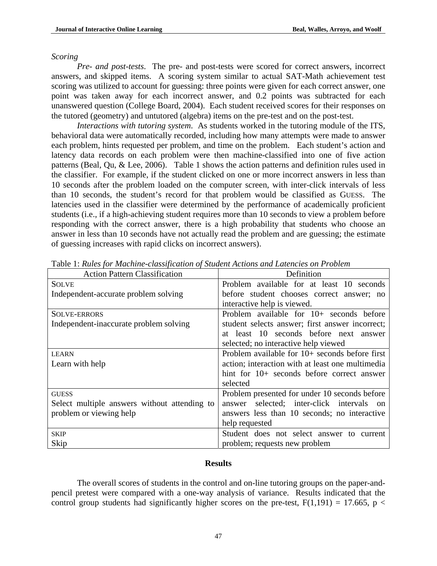#### *Scoring*

*Pre- and post-tests*. The pre- and post-tests were scored for correct answers, incorrect answers, and skipped items. A scoring system similar to actual SAT-Math achievement test scoring was utilized to account for guessing: three points were given for each correct answer, one point was taken away for each incorrect answer, and 0.2 points was subtracted for each unanswered question (College Board, 2004). Each student received scores for their responses on the tutored (geometry) and untutored (algebra) items on the pre-test and on the post-test.

*Interactions with tutoring system*. As students worked in the tutoring module of the ITS, behavioral data were automatically recorded, including how many attempts were made to answer each problem, hints requested per problem, and time on the problem. Each student's action and latency data records on each problem were then machine-classified into one of five action patterns (Beal, Qu, & Lee, 2006). Table 1 shows the action patterns and definition rules used in the classifier. For example, if the student clicked on one or more incorrect answers in less than 10 seconds after the problem loaded on the computer screen, with inter-click intervals of less than 10 seconds, the student's record for that problem would be classified as GUESS. The latencies used in the classifier were determined by the performance of academically proficient students (i.e., if a high-achieving student requires more than 10 seconds to view a problem before responding with the correct answer, there is a high probability that students who choose an answer in less than 10 seconds have not actually read the problem and are guessing; the estimate of guessing increases with rapid clicks on incorrect answers).

| <b>Action Pattern Classification</b>         | Definition                                       |  |  |  |
|----------------------------------------------|--------------------------------------------------|--|--|--|
| <b>SOLVE</b>                                 | Problem available for at least 10 seconds        |  |  |  |
| Independent-accurate problem solving         | before student chooses correct answer; no        |  |  |  |
|                                              | interactive help is viewed.                      |  |  |  |
| <b>SOLVE-ERRORS</b>                          | Problem available for $10+$ seconds before       |  |  |  |
| Independent-inaccurate problem solving       | student selects answer; first answer incorrect;  |  |  |  |
|                                              | at least 10 seconds before next answer           |  |  |  |
|                                              | selected; no interactive help viewed             |  |  |  |
| <b>LEARN</b>                                 | Problem available for $10+$ seconds before first |  |  |  |
| Learn with help                              | action; interaction with at least one multimedia |  |  |  |
|                                              | hint for 10+ seconds before correct answer       |  |  |  |
|                                              | selected                                         |  |  |  |
| <b>GUESS</b>                                 | Problem presented for under 10 seconds before    |  |  |  |
| Select multiple answers without attending to | answer selected; inter-click intervals on        |  |  |  |
| problem or viewing help                      | answers less than 10 seconds; no interactive     |  |  |  |
|                                              | help requested                                   |  |  |  |
| <b>SKIP</b>                                  | Student does not select answer to current        |  |  |  |
| Skip                                         | problem; requests new problem                    |  |  |  |

Table 1: *Rules for Machine-classification of Student Actions and Latencies on Problem*

### **Results**

The overall scores of students in the control and on-line tutoring groups on the paper-andpencil pretest were compared with a one-way analysis of variance. Results indicated that the control group students had significantly higher scores on the pre-test,  $F(1,191) = 17.665$ ,  $p <$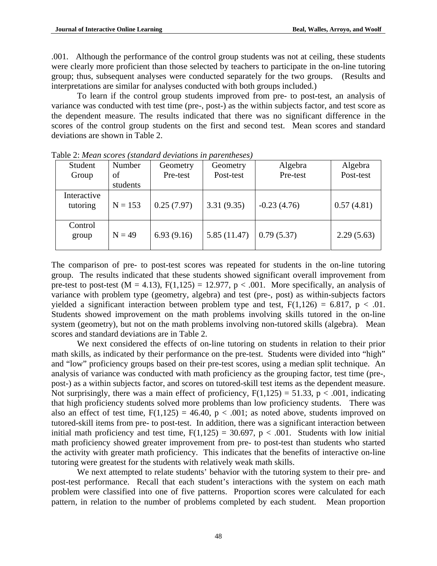.001. Although the performance of the control group students was not at ceiling, these students were clearly more proficient than those selected by teachers to participate in the on-line tutoring group; thus, subsequent analyses were conducted separately for the two groups. (Results and interpretations are similar for analyses conducted with both groups included.)

To learn if the control group students improved from pre- to post-test, an analysis of variance was conducted with test time (pre-, post-) as the within subjects factor, and test score as the dependent measure. The results indicated that there was no significant difference in the scores of the control group students on the first and second test. Mean scores and standard deviations are shown in Table 2.

| Student<br>Group        | Number<br>of | Geometry<br>Pre-test | Geometry<br>Post-test | Algebra<br>Pre-test | Algebra<br>Post-test |
|-------------------------|--------------|----------------------|-----------------------|---------------------|----------------------|
|                         | students     |                      |                       |                     |                      |
| Interactive<br>tutoring | $N = 153$    | 0.25(7.97)           | 3.31(9.35)            | $-0.23(4.76)$       | 0.57(4.81)           |
| Control<br>group        | $N = 49$     | 6.93(9.16)           | 5.85(11.47)           | 0.79(5.37)          | 2.29(5.63)           |

Table 2: *Mean scores (standard deviations in parentheses)* 

The comparison of pre- to post-test scores was repeated for students in the on-line tutoring group. The results indicated that these students showed significant overall improvement from pre-test to post-test (M = 4.13),  $F(1,125) = 12.977$ ,  $p < .001$ . More specifically, an analysis of variance with problem type (geometry, algebra) and test (pre-, post) as within-subjects factors yielded a significant interaction between problem type and test,  $F(1,126) = 6.817$ ,  $p < .01$ . Students showed improvement on the math problems involving skills tutored in the on-line system (geometry), but not on the math problems involving non-tutored skills (algebra). Mean scores and standard deviations are in Table 2.

We next considered the effects of on-line tutoring on students in relation to their prior math skills, as indicated by their performance on the pre-test. Students were divided into "high" and "low" proficiency groups based on their pre-test scores, using a median split technique. An analysis of variance was conducted with math proficiency as the grouping factor, test time (pre-, post-) as a within subjects factor, and scores on tutored-skill test items as the dependent measure. Not surprisingly, there was a main effect of proficiency,  $F(1,125) = 51.33$ ,  $p < .001$ , indicating that high proficiency students solved more problems than low proficiency students. There was also an effect of test time,  $F(1,125) = 46.40$ ,  $p < .001$ ; as noted above, students improved on tutored-skill items from pre- to post-test. In addition, there was a significant interaction between initial math proficiency and test time,  $F(1,125) = 30.697$ ,  $p < .001$ . Students with low initial math proficiency showed greater improvement from pre- to post-test than students who started the activity with greater math proficiency. This indicates that the benefits of interactive on-line tutoring were greatest for the students with relatively weak math skills.

We next attempted to relate students' behavior with the tutoring system to their pre- and post-test performance. Recall that each student's interactions with the system on each math problem were classified into one of five patterns. Proportion scores were calculated for each pattern, in relation to the number of problems completed by each student. Mean proportion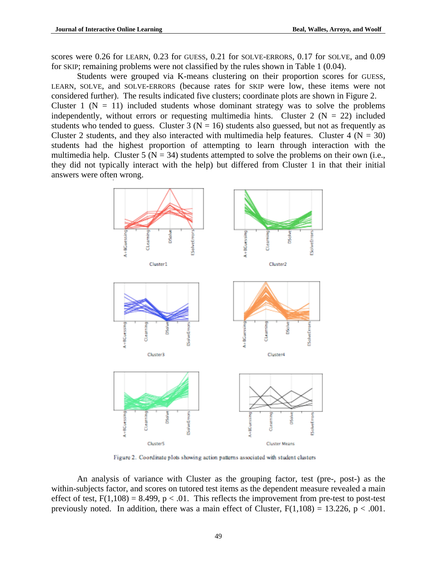scores were 0.26 for LEARN, 0.23 for GUESS, 0.21 for SOLVE-ERRORS, 0.17 for SOLVE, and 0.09 for SKIP; remaining problems were not classified by the rules shown in Table 1 (0.04).

Students were grouped via K-means clustering on their proportion scores for GUESS, LEARN, SOLVE, and SOLVE-ERRORS (because rates for SKIP were low, these items were not considered further). The results indicated five clusters; coordinate plots are shown in Figure 2. Cluster 1 ( $N = 11$ ) included students whose dominant strategy was to solve the problems independently, without errors or requesting multimedia hints. Cluster 2 ( $N = 22$ ) included students who tended to guess. Cluster 3 ( $N = 16$ ) students also guessed, but not as frequently as Cluster 2 students, and they also interacted with multimedia help features. Cluster 4 ( $N = 30$ ) students had the highest proportion of attempting to learn through interaction with the multimedia help. Cluster 5 ( $N = 34$ ) students attempted to solve the problems on their own (i.e., they did not typically interact with the help) but differed from Cluster 1 in that their initial answers were often wrong.



Figure 2. Coordinate plots showing action patterns associated with student clusters

An analysis of variance with Cluster as the grouping factor, test (pre-, post-) as the within-subjects factor, and scores on tutored test items as the dependent measure revealed a main effect of test,  $F(1,108) = 8.499$ ,  $p < .01$ . This reflects the improvement from pre-test to post-test previously noted. In addition, there was a main effect of Cluster,  $F(1,108) = 13.226$ ,  $p < .001$ .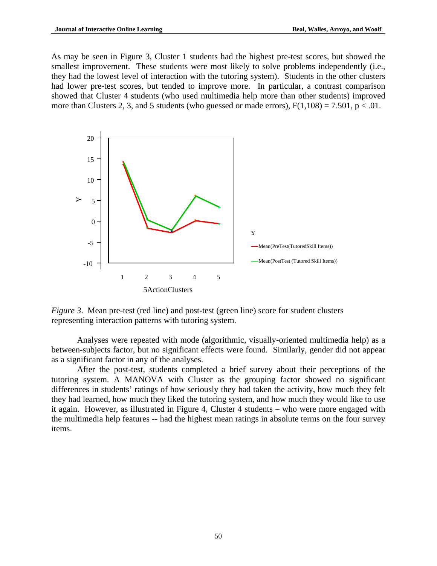As may be seen in Figure 3, Cluster 1 students had the highest pre-test scores, but showed the smallest improvement. These students were most likely to solve problems independently (i.e., they had the lowest level of interaction with the tutoring system). Students in the other clusters had lower pre-test scores, but tended to improve more. In particular, a contrast comparison showed that Cluster 4 students (who used multimedia help more than other students) improved more than Clusters 2, 3, and 5 students (who guessed or made errors),  $F(1,108) = 7.501$ ,  $p < .01$ .



*Figure 3.* Mean pre-test (red line) and post-test (green line) score for student clusters representing interaction patterns with tutoring system.

Analyses were repeated with mode (algorithmic, visually-oriented multimedia help) as a between-subjects factor, but no significant effects were found. Similarly, gender did not appear as a significant factor in any of the analyses.

After the post-test, students completed a brief survey about their perceptions of the tutoring system. A MANOVA with Cluster as the grouping factor showed no significant differences in students' ratings of how seriously they had taken the activity, how much they felt they had learned, how much they liked the tutoring system, and how much they would like to use it again. However, as illustrated in Figure 4, Cluster 4 students – who were more engaged with the multimedia help features -- had the highest mean ratings in absolute terms on the four survey items.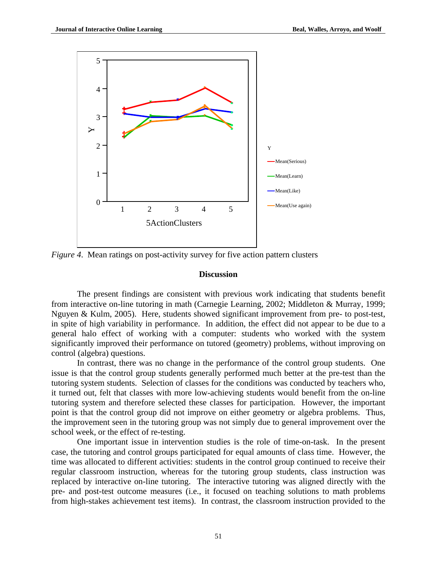

*Figure 4*. Mean ratings on post-activity survey for five action pattern clusters

#### **Discussion**

The present findings are consistent with previous work indicating that students benefit from interactive on-line tutoring in math (Carnegie Learning, 2002; Middleton & Murray, 1999; Nguyen & Kulm, 2005). Here, students showed significant improvement from pre- to post-test, in spite of high variability in performance. In addition, the effect did not appear to be due to a general halo effect of working with a computer: students who worked with the system significantly improved their performance on tutored (geometry) problems, without improving on control (algebra) questions.

In contrast, there was no change in the performance of the control group students. One issue is that the control group students generally performed much better at the pre-test than the tutoring system students. Selection of classes for the conditions was conducted by teachers who, it turned out, felt that classes with more low-achieving students would benefit from the on-line tutoring system and therefore selected these classes for participation. However, the important point is that the control group did not improve on either geometry or algebra problems. Thus, the improvement seen in the tutoring group was not simply due to general improvement over the school week, or the effect of re-testing.

One important issue in intervention studies is the role of time-on-task. In the present case, the tutoring and control groups participated for equal amounts of class time. However, the time was allocated to different activities: students in the control group continued to receive their regular classroom instruction, whereas for the tutoring group students, class instruction was replaced by interactive on-line tutoring. The interactive tutoring was aligned directly with the pre- and post-test outcome measures (i.e., it focused on teaching solutions to math problems from high-stakes achievement test items). In contrast, the classroom instruction provided to the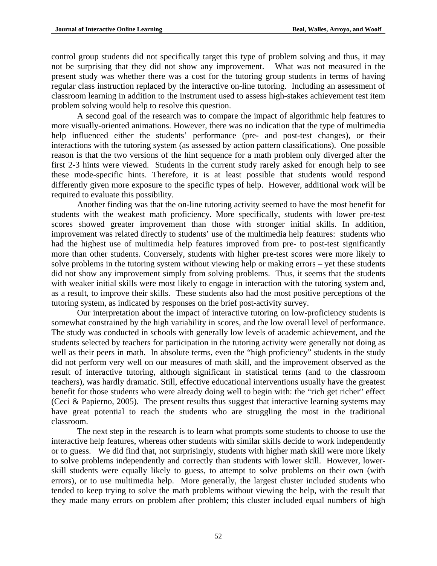control group students did not specifically target this type of problem solving and thus, it may not be surprising that they did not show any improvement. What was not measured in the present study was whether there was a cost for the tutoring group students in terms of having regular class instruction replaced by the interactive on-line tutoring. Including an assessment of classroom learning in addition to the instrument used to assess high-stakes achievement test item problem solving would help to resolve this question.

A second goal of the research was to compare the impact of algorithmic help features to more visually-oriented animations. However, there was no indication that the type of multimedia help influenced either the students' performance (pre- and post-test changes), or their interactions with the tutoring system (as assessed by action pattern classifications). One possible reason is that the two versions of the hint sequence for a math problem only diverged after the first 2-3 hints were viewed. Students in the current study rarely asked for enough help to see these mode-specific hints. Therefore, it is at least possible that students would respond differently given more exposure to the specific types of help. However, additional work will be required to evaluate this possibility.

Another finding was that the on-line tutoring activity seemed to have the most benefit for students with the weakest math proficiency. More specifically, students with lower pre-test scores showed greater improvement than those with stronger initial skills. In addition, improvement was related directly to students' use of the multimedia help features: students who had the highest use of multimedia help features improved from pre- to post-test significantly more than other students. Conversely, students with higher pre-test scores were more likely to solve problems in the tutoring system without viewing help or making errors – yet these students did not show any improvement simply from solving problems. Thus, it seems that the students with weaker initial skills were most likely to engage in interaction with the tutoring system and, as a result, to improve their skills. These students also had the most positive perceptions of the tutoring system, as indicated by responses on the brief post-activity survey.

Our interpretation about the impact of interactive tutoring on low-proficiency students is somewhat constrained by the high variability in scores, and the low overall level of performance. The study was conducted in schools with generally low levels of academic achievement, and the students selected by teachers for participation in the tutoring activity were generally not doing as well as their peers in math. In absolute terms, even the "high proficiency" students in the study did not perform very well on our measures of math skill, and the improvement observed as the result of interactive tutoring, although significant in statistical terms (and to the classroom teachers), was hardly dramatic. Still, effective educational interventions usually have the greatest benefit for those students who were already doing well to begin with: the "rich get richer" effect (Ceci & Papierno, 2005). The present results thus suggest that interactive learning systems may have great potential to reach the students who are struggling the most in the traditional classroom.

The next step in the research is to learn what prompts some students to choose to use the interactive help features, whereas other students with similar skills decide to work independently or to guess. We did find that, not surprisingly, students with higher math skill were more likely to solve problems independently and correctly than students with lower skill. However, lowerskill students were equally likely to guess, to attempt to solve problems on their own (with errors), or to use multimedia help. More generally, the largest cluster included students who tended to keep trying to solve the math problems without viewing the help, with the result that they made many errors on problem after problem; this cluster included equal numbers of high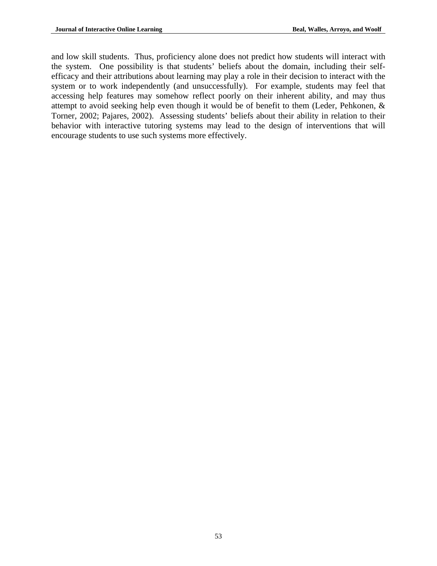and low skill students. Thus, proficiency alone does not predict how students will interact with the system. One possibility is that students' beliefs about the domain, including their selfefficacy and their attributions about learning may play a role in their decision to interact with the system or to work independently (and unsuccessfully). For example, students may feel that accessing help features may somehow reflect poorly on their inherent ability, and may thus attempt to avoid seeking help even though it would be of benefit to them (Leder, Pehkonen, & Torner, 2002; Pajares, 2002). Assessing students' beliefs about their ability in relation to their behavior with interactive tutoring systems may lead to the design of interventions that will encourage students to use such systems more effectively.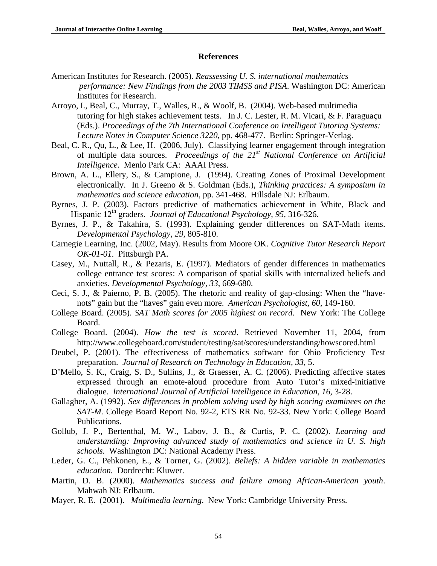### **References**

- American Institutes for Research. (2005). *Reassessing U. S. international mathematics performance: New Findings from the 2003 TIMSS and PISA*. Washington DC: American Institutes for Research.
- Arroyo, I., Beal, C., Murray, T., Walles, R., & Woolf, B. (2004). Web-based multimedia tutoring for high stakes achievement tests. In J. C. Lester, R. M. Vicari, & F. Paraguaçu (Eds.). *Proceedings of the 7th International Conference on Intelligent Tutoring Systems: Lecture Notes in Computer Science 3220*, pp. 468-477. Berlin: Springer-Verlag.
- Beal, C. R., Qu, L., & Lee, H. (2006, July). Classifying learner engagement through integration of multiple data sources. *Proceedings of the 21st National Conference on Artificial Intelligence*. Menlo Park CA: AAAI Press.
- Brown, A. L., Ellery, S., & Campione, J. (1994). Creating Zones of Proximal Development electronically. In J. Greeno & S. Goldman (Eds.), *Thinking practices: A symposium in mathematics and science education*, pp. 341-468. Hillsdale NJ: Erlbaum.
- Byrnes, J. P. (2003). Factors predictive of mathematics achievement in White, Black and Hispanic 12th graders. *Journal of Educational Psychology*, *95,* 316-326.
- Byrnes, J. P., & Takahira, S. (1993). Explaining gender differences on SAT-Math items. *Developmental Psychology, 29*, 805-810.
- Carnegie Learning, Inc. (2002, May). Results from Moore OK. *Cognitive Tutor Research Report OK-01-01*. Pittsburgh PA.
- Casey, M., Nuttall, R., & Pezaris, E. (1997). Mediators of gender differences in mathematics college entrance test scores: A comparison of spatial skills with internalized beliefs and anxieties. *Developmental Psychology, 33*, 669-680.
- Ceci, S. J., & Paierno, P. B. (2005). The rhetoric and reality of gap-closing: When the "havenots" gain but the "haves" gain even more. *American Psychologist, 60*, 149-160.
- College Board. (2005). *SAT Math scores for 2005 highest on record*. New York: The College Board.
- College Board. (2004). *How the test is scored*. Retrieved November 11, 2004, from http://www.collegeboard.com/student/testing/sat/scores/understanding/howscored.html
- Deubel, P. (2001). The effectiveness of mathematics software for Ohio Proficiency Test preparation. *Journal of Research on Technology in Education, 33*, 5.
- D'Mello, S. K., Craig, S. D., Sullins, J., & Graesser, A. C. (2006). Predicting affective states expressed through an emote-aloud procedure from Auto Tutor's mixed-initiative dialogue*. International Journal of Artificial Intelligence in Education, 16*, 3-28.
- Gallagher, A. (1992). *Sex differences in problem solving used by high scoring examinees on the SAT-M.* College Board Report No. 92-2, ETS RR No. 92-33. New York: College Board Publications.
- Gollub, J. P., Bertenthal, M. W., Labov, J. B., & Curtis, P. C. (2002). *Learning and understanding: Improving advanced study of mathematics and science in U. S. high schools.* Washington DC: National Academy Press.
- Leder, G. C., Pehkonen, E., & Torner, G. (2002). *Beliefs: A hidden variable in mathematics education.* Dordrecht: Kluwer.
- Martin, D. B. (2000). *Mathematics success and failure among African-American youth*. Mahwah NJ: Erlbaum.
- Mayer, R. E. (2001). *Multimedia learning*. New York: Cambridge University Press.